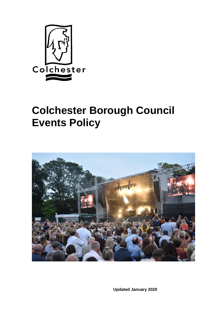

# **Colchester Borough Council Events Policy**



**Updated January 2020**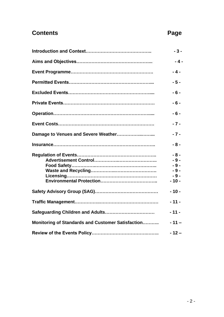## **Contents Page**

|                                                   | $-3-$                                               |
|---------------------------------------------------|-----------------------------------------------------|
|                                                   | $-4-$                                               |
|                                                   | $-4-$                                               |
|                                                   | $-5-$                                               |
|                                                   | $-6-$                                               |
|                                                   | $-6-$                                               |
|                                                   | $-6-$                                               |
|                                                   | $-7-$                                               |
| Damage to Venues and Severe Weather               | $-7-$                                               |
|                                                   | $-8-$                                               |
|                                                   | $-8-$<br>$-9-$<br>$-9-$<br>$-9-$<br>$-9-$<br>$-10-$ |
|                                                   | $-10-$                                              |
|                                                   | $-11-$                                              |
|                                                   | $-11-$                                              |
| Monitoring of Standards and Customer Satisfaction | $-11-$                                              |
|                                                   | $-12-$                                              |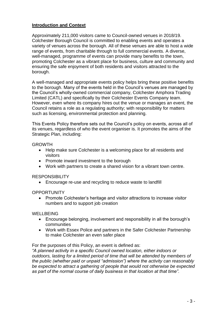#### **Introduction and Context**

Approximately 211,000 visitors came to Council-owned venues in 2018/19. Colchester Borough Council is committed to enabling events and operates a variety of venues across the borough. All of these venues are able to host a wide range of events, from charitable through to full commercial events. A diverse, well-managed, programme of events can provide many benefits to the town, promoting Colchester as a vibrant place for business, culture and community and ensuring the safe enjoyment of both residents and visitors attracted to the borough.

A well-managed and appropriate events policy helps bring these positive benefits to the borough. Many of the events held in the Council's venues are managed by the Council's wholly-owned commercial company, Colchester Amphora Trading Limited (CATL) and specifically by their Colchester Events Company team. However, even where its company hires out the venue or manages an event, the Council retains a role as a regulating authority; with responsibility for matters such as licensing, environmental protection and planning.

This Events Policy therefore sets out the Council's policy on events, across all of its venues, regardless of who the event organiser is. It promotes the aims of the Strategic Plan, including:

#### GROWTH

- Help make sure Colchester is a welcoming place for all residents and visitors
- Promote inward investment to the borough
- Work with partners to create a shared vision for a vibrant town centre.

#### **RESPONSIBILITY**

• Encourage re-use and recycling to reduce waste to landfill

#### **OPPORTUNITY**

• Promote Colchester's heritage and visitor attractions to increase visitor numbers and to support job creation

#### WELLBEING

- Encourage belonging, involvement and responsibility in all the borough's communities
- Work with Essex Police and partners in the Safer Colchester Partnership to make Colchester an even safer place

For the purposes of this Policy, an event is defined as:

*"A planned activity in a specific Council owned location, either indoors or outdoors, lasting for a limited period of time that will be attended by members of the public (whether paid or unpaid "admission") where the activity can reasonably be expected to attract a gathering of people that would not otherwise be expected as part of the normal course of daily business in that location at that time".*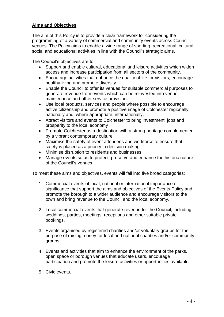#### **Aims and Objectives**

The aim of this Policy is to provide a clear framework for considering the programming of a variety of commercial and community events across Council venues. The Policy aims to enable a wide range of sporting, recreational, cultural, social and educational activities in line with the Council's strategic aims.

The Council's objectives are to:

- Support and enable cultural, educational and leisure activities which widen access and increase participation from all sectors of the community.
- Encourage activities that enhance the quality of life for visitors, encourage healthy living and promote diversity.
- Enable the Council to offer its venues for suitable commercial purposes to generate revenue from events which can be reinvested into venue maintenance and other service provision.
- Use local products, services and people where possible to encourage active citizenship and promote a positive image of Colchester regionally, nationally and, where appropriate, internationally.
- Attract visitors and events to Colchester to bring investment, jobs and prosperity to the local economy
- Promote Colchester as a destination with a strong heritage complemented by a vibrant contemporary culture
- Maximise the safety of event attendees and workforce to ensure that safety is placed as a priority in decision making
- Minimise disruption to residents and businesses
- Manage events so as to protect, preserve and enhance the historic nature of the Council's venues.

To meet these aims and objectives, events will fall into five broad categories:

- 1. Commercial events of local, national or international importance or significance that support the aims and objectives of the Events Policy and promote the borough to a wider audience and encourage visitors to the town and bring revenue to the Council and the local economy.
- 2. Local commercial events that generate revenue for the Council, including weddings, parties, meetings, receptions and other suitable private bookings.
- 3. Events organised by registered charities and/or voluntary groups for the purpose of raising money for local and national charities and/or community groups.
- 4. Events and activities that aim to enhance the environment of the parks, open space or borough venues that educate users, encourage participation and promote the leisure activities or opportunities available.
- 5. Civic events.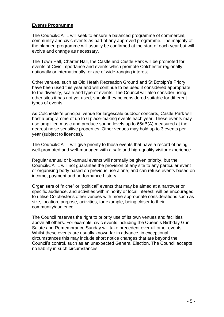#### **Events Programme**

The Council/CATL will seek to ensure a balanced programme of commercial, community and civic events as part of any approved programme. The majority of the planned programme will usually be confirmed at the start of each year but will evolve and change as necessary.

The Town Hall, Charter Hall, the Castle and Castle Park will be promoted for events of Civic importance and events which promote Colchester regionally, nationally or internationally, or are of wide-ranging interest.

Other venues, such as Old Heath Recreation Ground and St Botolph's Priory have been used this year and will continue to be used if considered appropriate to the diversity, scale and type of events. The Council will also consider using other sites it has not yet used, should they be considered suitable for different types of events.

As Colchester's principal venue for largescale outdoor concerts, Castle Park will host a programme of up to 6 place-making events each year. These events may use amplified music and produce sound levels up to 65dB(A) measured at the nearest noise sensitive properties. Other venues may hold up to 3 events per year (subject to licences).

The Council/CATL will give priority to those events that have a record of being well-promoted and well-managed with a safe and high-quality visitor experience.

Regular annual or bi-annual events will normally be given priority, but the Council/CATL will not guarantee the provision of any site to any particular event or organising body based on previous use alone; and can refuse events based on income, payment and performance history.

Organisers of "niche" or "political" events that may be aimed at a narrower or specific audience, and activities with minority or local interest, will be encouraged to utilise Colchester's other venues with more appropriate considerations such as size, location, purpose, activities; for example, being closer to their community/audience.

The Council reserves the right to priority use of its own venues and facilities above all others. For example, civic events including the Queen's Birthday Gun Salute and Remembrance Sunday will take precedent over all other events. Whilst these events are usually known far in advance, in exceptional circumstances this may include short notice changes that are beyond the Council's control, such as an unexpected General Election. The Council accepts no liability in such circumstances.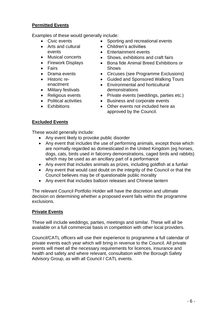#### **Permitted Events**

Examples of these would generally include:

- Civic events
- Arts and cultural events
- Musical concerts
- Firework Displays
- Fairs
- Drama events
- Historic reenactment
- Military festivals
- Religious events
- Political activities
- Exhibitions
- Sporting and recreational events
- Children's activities
- Entertainment events
- Shows, exhibitions and craft fairs
- Bona fide Animal Breed Exhibitions or Shows
- Circuses (see Programme Exclusions)
- Guided and Sponsored Walking Tours
- Environmental and horticultural demonstrations
- Private events (weddings, parties etc.)
- Business and corporate events
- Other events not included here as approved by the Council.

### **Excluded Events**

These would generally include:

- Any event likely to provoke public disorder
- Any event that includes the use of performing animals, except those which are normally regarded as domesticated in the United Kingdom (eg horses, dogs, cats, birds used in falconry demonstrations, caged birds and rabbits) which may be used as an ancillary part of a performance
- Any event that includes animals as prizes, including goldfish at a funfair
- Any event that would cast doubt on the integrity of the Council or that the Council believes may be of questionable public morality
- Any event that includes balloon releases and Chinese lantern

The relevant Council Portfolio Holder will have the discretion and ultimate decision on determining whether a proposed event falls within the programme exclusions.

#### **Private Events**

These will include weddings, parties, meetings and similar. These will all be available on a full commercial basis in competition with other local providers.

Council/CATL officers will use their experience to programme a full calendar of private events each year which will bring in revenue to the Council. All private events will meet all the necessary requirements for licences, insurance and health and safety and where relevant, consultation with the Borough Safety Advisory Group, as with all Council / CATL events.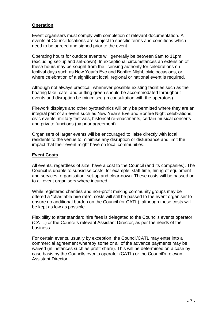#### **Operation**

Event organisers must comply with completion of relevant documentation. All events at Council locations are subject to specific terms and conditions which need to be agreed and signed prior to the event.

Operating hours for outdoor events will generally be between 9am to 11pm (excluding set-up and set-down). In exceptional circumstances an extension of these hours may be sought from the licensing authority for celebrations on festival days such as New Year's Eve and Bonfire Night, civic occasions, or where celebration of a significant local, regional or national event is required.

Although not always practical, whenever possible existing facilities such as the boating lake, café, and putting green should be accommodated throughout events and disruption be minimised (in consultation with the operators).

Firework displays and other pyrotechnics will only be permitted where they are an integral part of an event such as New Year's Eve and Bonfire Night celebrations, civic events, military festivals, historical re-enactments, certain musical concerts and private functions (by prior agreement).

Organisers of larger events will be encouraged to liaise directly with local residents to the venue to minimise any disruption or disturbance and limit the impact that their event might have on local communities.

#### **Event Costs**

All events, regardless of size, have a cost to the Council (and its companies). The Council is unable to subsidise costs, for example; staff time, hiring of equipment and services, organisation, set-up and clear-down. These costs will be passed on to all event organisers where incurred.

While registered charities and non-profit making community groups may be offered a "charitable hire rate", costs will still be passed to the event organiser to ensure no additional burden on the Council (or CATL), although these costs will be kept as low as possible.

Flexibility to alter standard hire fees is delegated to the Councils events operator (CATL) or the Council's relevant Assistant Director, as per the needs of the business.

For certain events, usually by exception, the Council/CATL may enter into a commercial agreement whereby some or all of the advance payments may be waived (in instances such as profit share). This will be determined on a case by case basis by the Councils events operator (CATL) or the Council's relevant Assistant Director.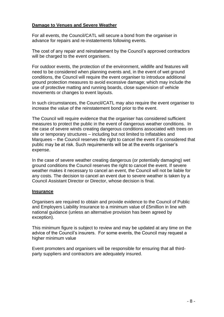#### **Damage to Venues and Severe Weather**

For all events, the Council/CATL will secure a bond from the organiser in advance for repairs and re-instatements following events.

The cost of any repair and reinstatement by the Council's approved contractors will be charged to the event organisers.

For outdoor events, the protection of the environment, wildlife and features will need to be considered when planning events and, in the event of wet ground conditions, the Council will require the event organiser to introduce additional ground protection measures to avoid excessive damage; which may include the use of protective matting and running boards, close supervision of vehicle movements or changes to event layouts.

In such circumstances, the Council/CATL may also require the event organiser to increase the value of the reinstatement bond prior to the event.

The Council will require evidence that the organiser has considered sufficient measures to protect the public in the event of dangerous weather conditions. In the case of severe winds creating dangerous conditions associated with trees on site or temporary structures – including but not limited to Inflatables and Marquees – the Council reserves the right to cancel the event if is considered that public may be at risk. Such requirements will be at the events organiser's expense.

In the case of severe weather creating dangerous (or potentially damaging) wet ground conditions the Council reserves the right to cancel the event. If severe weather makes it necessary to cancel an event, the Council will not be liable for any costs. The decision to cancel an event due to severe weather is taken by a Council Assistant Director or Director, whose decision is final.

#### **Insurance**

Organisers are required to obtain and provide evidence to the Council of Public and Employers Liability Insurance to a minimum value of £5million in line with national guidance (unless an alternative provision has been agreed by exception).

This minimum figure is subject to review and may be updated at any time on the advice of the Council's insurers. For some events, the Council may request a higher minimum value

Event promoters and organisers will be responsible for ensuring that all thirdparty suppliers and contractors are adequately insured.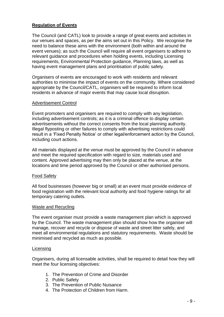#### **Regulation of Events**

The Council (and CATL) look to provide a range of great events and activities in our venues and spaces, as per the aims set out in this Policy. We recognise the need to balance these aims with the environment (both within and around the event venues); as such the Council will require all event organisers to adhere to relevant guidance and procedures when holding events, including Licensing requirements, Environmental Protection guidance, Planning laws, as well as having event management plans and prioritisation of public safety.

Organisers of events are encouraged to work with residents and relevant authorities to minimise the impact of events on the community. Where considered appropriate by the Council/CATL, organisers will be required to inform local residents in advance of major events that may cause local disruption.

#### Advertisement Control

Event promoters and organisers are required to comply with any legislation, including advertisement controls; as it is a criminal offence to display certain advertisements without the correct consents from the local planning authority. Illegal flyposting or other failures to comply with advertising restrictions could result in a 'Fixed Penalty Notice' or other legal/enforcement action by the Council, including court actions.

All materials displayed at the venue must be approved by the Council in advance and meet the required specification with regard to size, materials used and content. Approved advertising may then only be placed at the venue, at the locations and time period approved by the Council or other authorised persons.

#### Food Safety

All food businesses (however big or small) at an event must provide evidence of food registration with the relevant local authority and food hygiene ratings for all temporary catering outlets.

#### Waste and Recycling

The event organiser must provide a waste management plan which is approved by the Council. The waste management plan should show how the organiser will manage, recover and recycle or dispose of waste and street litter safely, and meet all environmental regulations and statutory requirements. Waste should be minimised and recycled as much as possible.

#### **Licensing**

Organisers, during all licensable activities, shall be required to detail how they will meet the four licensing objectives:

- 1. The Prevention of Crime and Disorder
- 2. Public Safety
- 3. The Prevention of Public Nuisance
- 4. The Protection of Children from Harm.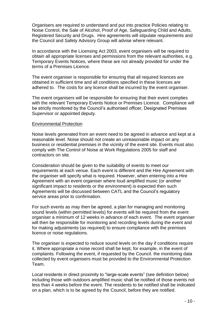Organisers are required to understand and put into practice Policies relating to Noise Control, the Sale of Alcohol, Proof of Age, Safeguarding Child and Adults, Registered Security and Drugs. Hire agreements will stipulate requirements and the Council and Safety Advisory Group will advise where relevant.

In accordance with the Licensing Act 2003, event organisers will be required to obtain all appropriate licenses and permissions from the relevant authorities, e.g. Temporary Events Notices, where these are not already provided for under the terms of a Premises Licence.

The event organiser is responsible for ensuring that all required licences are obtained in sufficient time and all conditions specified in these licences are adhered to. The costs for any licence shall be incurred by the event organiser.

The event organisers will be responsible for ensuring that their event complies with the relevant Temporary Events Notice or Premises Licence. Compliance will be strictly monitored by the Council's authorised officer, Designated Premises Supervisor or appointed deputy.

#### Environmental Protection

Noise levels generated from an event need to be agreed in advance and kept at a reasonable level. Noise should not create an unreasonable impact on any business or residential premises in the vicinity of the event site. Events must also comply with The Control of Noise at Work Regulations 2005 for staff and contractors on site.

Consideration should be given to the suitability of events to meet our requirements at each venue. Each event is different and the Hire Agreement with the organiser will specify what is required. However, when entering into a Hire Agreement with an event organiser where loud amplified music (or another significant impact to residents or the environment) is expected then such Agreements will be discussed between CATL and the Council's regulatory service areas prior to confirmation.

For such events as may then be agreed, a plan for managing and monitoring sound levels (within permitted levels) for events will be required from the event organiser a minimum of 12 weeks in advance of each event. The event organiser will then be responsible for monitoring and recording levels during the event and for making adjustments (as required) to ensure compliance with the premises licence or noise regulations.

The organiser is expected to reduce sound levels on the day if conditions require it. Where appropriate a noise record shall be kept, for example, in the event of complaints. Following the event, if requested by the Council. the monitoring data collected by event organisers must be provided to the Environmental Protection Team.

Local residents in direct proximity to "large-scale events" (see definition below) including those with outdoors amplified music shall be notified of those events not less than 4 weeks before the event. The residents to be notified shall be indicated on a plan, which is to be agreed by the Council, before they are notified.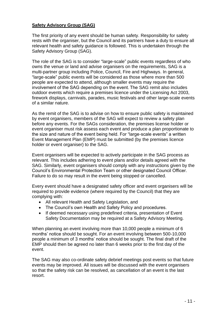#### **Safety Advisory Group (SAG)**

The first priority of any event should be human safety. Responsibility for safety rests with the organiser, but the Council and its partners have a duty to ensure all relevant health and safety guidance is followed. This is undertaken through the Safety Advisory Group (SAG).

The role of the SAG is to consider "large-scale" public events regardless of who owns the venue or land and advise organisers on the requirements, SAG is a multi-partner group including Police, Council, Fire and Highways. In general, "large-scale" public events will be considered as those where more than 500 people are expected to attend, although smaller events may require the involvement of the SAG depending on the event. The SAG remit also includes outdoor events which require a premises licence under the Licensing Act 2003, firework displays, carnivals, parades, music festivals and other large-scale events of a similar nature.

As the remit of the SAG is to advise on how to ensure public safety is maintained by event organisers, members of the SAG will expect to review a safety plan before any events. For the SAGs consideration, the premises license holder or event organiser must risk assess each event and produce a plan proportionate to the size and nature of the event being held. For "large-scale events" a written Event Management Plan (EMP) must be submitted (by the premises licence holder or event organiser) to the SAG.

Event organisers will be expected to actively participate in the SAG process as relevant. This includes adhering to event plans and/or details agreed with the SAG. Similarly, event organisers should comply with any instructions given by the Council's Environmental Protection Team or other designated Council Officer. Failure to do so may result in the event being stopped or cancelled.

Every event should have a designated safety officer and event organisers will be required to provide evidence (where required by the Council) that they are complying with:

- All relevant Health and Safety Legislation, and
- The Council's own Health and Safety Policy and procedures.
- If deemed necessary using predefined criteria, presentation of Event Safety Documentation may be required at a Safety Advisory Meeting.

When planning an event involving more than 10,000 people a minimum of 6 months' notice should be sought. For an event involving between 500-10,000 people a minimum of 3 months' notice should be sought. The final draft of the EMP should then be agreed no later than 6 weeks prior to the first day of the event.

The SAG may also co-ordinate safety debrief meetings post events so that future events may be improved. All issues will be discussed with the event organisers so that the safety risk can be resolved, as cancellation of an event is the last resort.